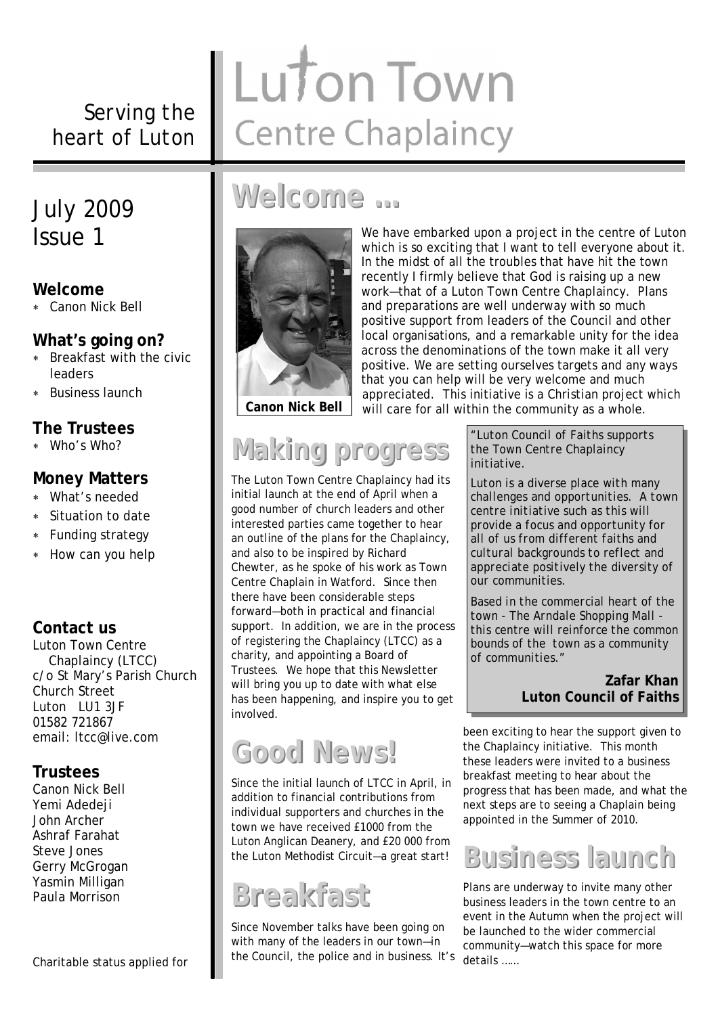*Serving the heart of Luton*

### July 2009 Issue 1

### **Welcome**

Canon Nick Bell

### **What's going on?**

- Breakfast with the civic leaders
- Business launch

### **The Trustees**

Who's Who?

### **Money Matters**

- What's needed
- Situation to date
- Funding strategy
- \* How can you help

### **Contact us**

Luton Town Centre Chaplaincy (LTCC) c/o St Mary's Parish Church Church Street Luton LU1 3JF 01582 721867 email: ltcc@live.com

### **Trustees**

Canon Nick Bell Yemi Adedeji John Archer Ashraf Farahat Steve Jones Gerry McGrogan Yasmin Milligan Paula Morrison

#### Charitable status applied for

# Luton Town **Centre Chaplaincy**

# **Welcome …**



We have embarked upon a project in the centre of Luton which is so exciting that I want to tell everyone about it. In the midst of all the troubles that have hit the town recently I firmly believe that God is raising up a new work—that of a Luton Town Centre Chaplaincy. Plans and preparations are well underway with so much positive support from leaders of the Council and other local organisations, and a remarkable unity for the idea across the denominations of the town make it all very positive. We are setting ourselves targets and any ways that you can help will be very welcome and much appreciated. This initiative is a Christian project which **Canon Nick Bell** will care for all within the community as a whole.

# **Making progress**

The Luton Town Centre Chaplaincy had its initial launch at the end of April when a good number of church leaders and other interested parties came together to hear an outline of the plans for the Chaplaincy, and also to be inspired by Richard Chewter, as he spoke of his work as Town Centre Chaplain in Watford. Since then there have been considerable steps forward—both in practical and financial support. In addition, we are in the process of registering the Chaplaincy (LTCC) as a charity, and appointing a Board of Trustees. We hope that this Newsletter will bring you up to date with what else has been happening, and inspire you to get involved.

# **Good News!**

Since the initial launch of LTCC in April, in addition to financial contributions from individual supporters and churches in the town we have received £1000 from the Luton Anglican Deanery, and £20 000 from the Luton Methodist Circuit—a great start!

# **Breakfast**

Since November talks have been going on with many of the leaders in our town—in the Council, the police and in business. It's *"Luton Council of Faiths supports the Town Centre Chaplaincy initiative.*

*Luton is a diverse place with many challenges and opportunities. A town centre initiative such as this will provide a focus and opportunity for all of us from different faiths and cultural backgrounds to reflect and appreciate positively the diversity of our communities.*

*Based in the commercial heart of the town - The Arndale Shopping Mall this centre will reinforce the common bounds of the town as a community of communities."* 

### **Zafar Khan Luton Council of Faiths**

been exciting to hear the support given to the Chaplaincy initiative. This month these leaders were invited to a business breakfast meeting to hear about the progress that has been made, and what the next steps are to seeing a Chaplain being appointed in the Summer of 2010.

# **Business launch**

Plans are underway to invite many other business leaders in the town centre to an event in the Autumn when the project will be launched to the wider commercial community—watch this space for more details ……